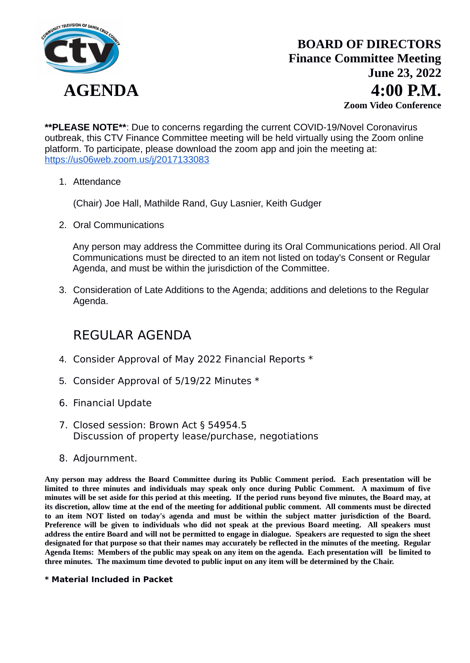

**\*\*PLEASE NOTE\*\***: Due to concerns regarding the current COVID-19/Novel Coronavirus outbreak, this CTV Finance Committee meeting will be held virtually using the Zoom online platform. To participate, please download the zoom app and join the meeting at: https://us06web.zoom.us/j/2017133083

1. Attendance

(Chair) Joe Hall, Mathilde Rand, Guy Lasnier, Keith Gudger

2. Oral Communications

Any person may address the Committee during its Oral Communications period. All Oral Communications must be directed to an item not listed on today's Consent or Regular Agenda, and must be within the jurisdiction of the Committee.

3. Consideration of Late Additions to the Agenda; additions and deletions to the Regular Agenda.

## REGULAR AGENDA

- 4. Consider Approval of May 2022 Financial Reports \*
- 5. Consider Approval of 5/19/22 Minutes \*
- 6. Financial Update
- 7. Closed session: Brown Act § 54954.5 Discussion of property lease/purchase, negotiations
- 8. Adjournment.

**Any person may address the Board Committee during its Public Comment period. Each presentation will be limited to three minutes and individuals may speak only once during Public Comment. A maximum of five minutes will be set aside for this period at this meeting. If the period runs beyond five minutes, the Board may, at its discretion, allow time at the end of the meeting for additional public comment. All comments must be directed to an item NOT listed on today's agenda and must be within the subject matter jurisdiction of the Board. Preference will be given to individuals who did not speak at the previous Board meeting. All speakers must address the entire Board and will not be permitted to engage in dialogue. Speakers are requested to sign the sheet designated for that purpose so that their names may accurately be reflected in the minutes of the meeting. Regular Agenda Items: Members of the public may speak on any item on the agenda. Each presentation will be limited to three minutes. The maximum time devoted to public input on any item will be determined by the Chair.**

### **\* Material Included in Packet**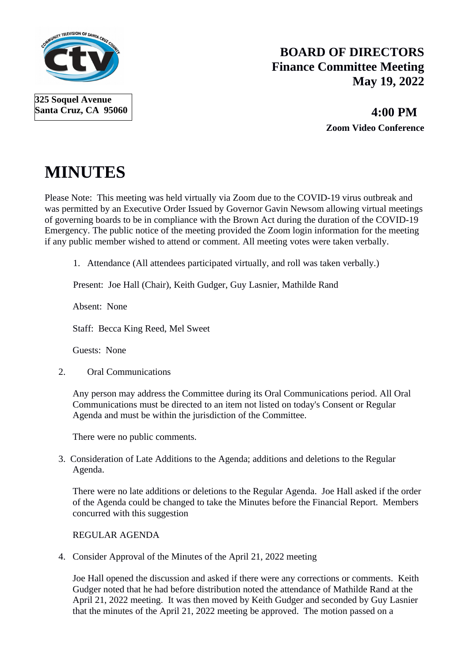

## **BOARD OF DIRECTORS Finance Committee Meeting May 19, 2022**

 **4:00 PM Zoom Video Conference**

# **MINUTES**

Please Note: This meeting was held virtually via Zoom due to the COVID-19 virus outbreak and was permitted by an Executive Order Issued by Governor Gavin Newsom allowing virtual meetings of governing boards to be in compliance with the Brown Act during the duration of the COVID-19 Emergency. The public notice of the meeting provided the Zoom login information for the meeting if any public member wished to attend or comment. All meeting votes were taken verbally.

1. Attendance (All attendees participated virtually, and roll was taken verbally.)

Present: Joe Hall (Chair), Keith Gudger, Guy Lasnier, Mathilde Rand

Absent: None

Staff: Becca King Reed, Mel Sweet

Guests: None

2. Oral Communications

Any person may address the Committee during its Oral Communications period. All Oral Communications must be directed to an item not listed on today's Consent or Regular Agenda and must be within the jurisdiction of the Committee.

There were no public comments.

3. Consideration of Late Additions to the Agenda; additions and deletions to the Regular Agenda.

There were no late additions or deletions to the Regular Agenda. Joe Hall asked if the order of the Agenda could be changed to take the Minutes before the Financial Report. Members concurred with this suggestion

REGULAR AGENDA

4. Consider Approval of the Minutes of the April 21, 2022 meeting

Joe Hall opened the discussion and asked if there were any corrections or comments. Keith Gudger noted that he had before distribution noted the attendance of Mathilde Rand at the April 21, 2022 meeting. It was then moved by Keith Gudger and seconded by Guy Lasnier that the minutes of the April 21, 2022 meeting be approved. The motion passed on a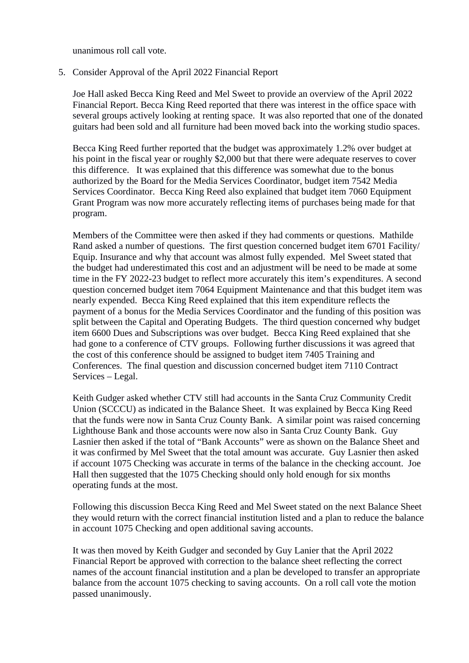unanimous roll call vote.

5. Consider Approval of the April 2022 Financial Report

Joe Hall asked Becca King Reed and Mel Sweet to provide an overview of the April 2022 Financial Report. Becca King Reed reported that there was interest in the office space with several groups actively looking at renting space. It was also reported that one of the donated guitars had been sold and all furniture had been moved back into the working studio spaces.

Becca King Reed further reported that the budget was approximately 1.2% over budget at his point in the fiscal year or roughly \$2,000 but that there were adequate reserves to cover this difference. It was explained that this difference was somewhat due to the bonus authorized by the Board for the Media Services Coordinator, budget item 7542 Media Services Coordinator. Becca King Reed also explained that budget item 7060 Equipment Grant Program was now more accurately reflecting items of purchases being made for that program.

Members of the Committee were then asked if they had comments or questions. Mathilde Rand asked a number of questions. The first question concerned budget item 6701 Facility/ Equip. Insurance and why that account was almost fully expended. Mel Sweet stated that the budget had underestimated this cost and an adjustment will be need to be made at some time in the FY 2022-23 budget to reflect more accurately this item's expenditures. A second question concerned budget item 7064 Equipment Maintenance and that this budget item was nearly expended. Becca King Reed explained that this item expenditure reflects the payment of a bonus for the Media Services Coordinator and the funding of this position was split between the Capital and Operating Budgets. The third question concerned why budget item 6600 Dues and Subscriptions was over budget. Becca King Reed explained that she had gone to a conference of CTV groups. Following further discussions it was agreed that the cost of this conference should be assigned to budget item 7405 Training and Conferences. The final question and discussion concerned budget item 7110 Contract Services – Legal.

Keith Gudger asked whether CTV still had accounts in the Santa Cruz Community Credit Union (SCCCU) as indicated in the Balance Sheet. It was explained by Becca King Reed that the funds were now in Santa Cruz County Bank. A similar point was raised concerning Lighthouse Bank and those accounts were now also in Santa Cruz County Bank. Guy Lasnier then asked if the total of "Bank Accounts" were as shown on the Balance Sheet and it was confirmed by Mel Sweet that the total amount was accurate. Guy Lasnier then asked if account 1075 Checking was accurate in terms of the balance in the checking account. Joe Hall then suggested that the 1075 Checking should only hold enough for six months operating funds at the most.

Following this discussion Becca King Reed and Mel Sweet stated on the next Balance Sheet they would return with the correct financial institution listed and a plan to reduce the balance in account 1075 Checking and open additional saving accounts.

It was then moved by Keith Gudger and seconded by Guy Lanier that the April 2022 Financial Report be approved with correction to the balance sheet reflecting the correct names of the account financial institution and a plan be developed to transfer an appropriate balance from the account 1075 checking to saving accounts. On a roll call vote the motion passed unanimously.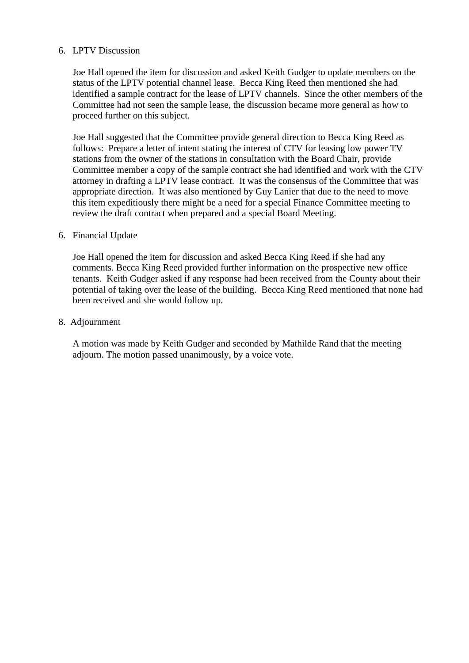### 6. LPTV Discussion

Joe Hall opened the item for discussion and asked Keith Gudger to update members on the status of the LPTV potential channel lease. Becca King Reed then mentioned she had identified a sample contract for the lease of LPTV channels. Since the other members of the Committee had not seen the sample lease, the discussion became more general as how to proceed further on this subject.

Joe Hall suggested that the Committee provide general direction to Becca King Reed as follows: Prepare a letter of intent stating the interest of CTV for leasing low power TV stations from the owner of the stations in consultation with the Board Chair, provide Committee member a copy of the sample contract she had identified and work with the CTV attorney in drafting a LPTV lease contract. It was the consensus of the Committee that was appropriate direction. It was also mentioned by Guy Lanier that due to the need to move this item expeditiously there might be a need for a special Finance Committee meeting to review the draft contract when prepared and a special Board Meeting.

### 6. Financial Update

Joe Hall opened the item for discussion and asked Becca King Reed if she had any comments. Becca King Reed provided further information on the prospective new office tenants. Keith Gudger asked if any response had been received from the County about their potential of taking over the lease of the building. Becca King Reed mentioned that none had been received and she would follow up.

### 8. Adjournment

A motion was made by Keith Gudger and seconded by Mathilde Rand that the meeting adjourn. The motion passed unanimously, by a voice vote.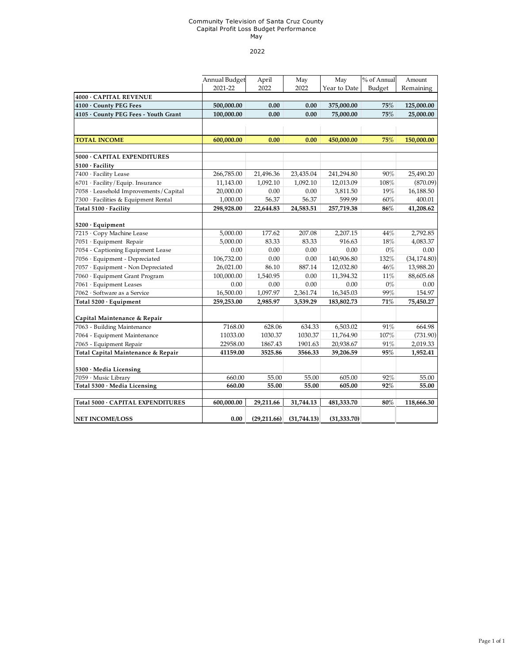#### Community Television of Santa Cruz County Capital Profit Loss Budget Performance May

#### 2022

|                                                     | Annual Budget | April       | May         | May          | % of Annual | Amount       |
|-----------------------------------------------------|---------------|-------------|-------------|--------------|-------------|--------------|
|                                                     | 2021-22       | 2022        | 2022        | Year to Date | Budget      | Remaining    |
| 4000 · CAPITAL REVENUE                              |               |             |             |              |             |              |
| 4100 · County PEG Fees                              | 500,000.00    | 0.00        | 0.00        | 375,000.00   | 75%         | 125,000.00   |
| 4105 · County PEG Fees - Youth Grant                | 100,000.00    | 0.00        | 0.00        | 75,000.00    | 75%         | 25,000.00    |
|                                                     |               |             |             |              |             |              |
|                                                     |               |             |             |              |             |              |
| <b>TOTAL INCOME</b>                                 | 600,000.00    | 0.00        | 0.00        | 450,000.00   | 75%         | 150,000.00   |
| 5000 · CAPITAL EXPENDITURES                         |               |             |             |              |             |              |
| $5100 \cdot$ Facility                               |               |             |             |              |             |              |
| 7400 · Facility Lease                               | 266,785.00    | 21,496.36   | 23,435.04   | 241,294.80   | 90%         | 25,490.20    |
| 6701 · Facility/Equip. Insurance                    | 11,143.00     | 1,092.10    | 1,092.10    | 12,013.09    | 108%        | (870.09)     |
| 7058 · Leasehold Improvements / Capital             | 20,000.00     | 0.00        | 0.00        | 3,811.50     | 19%         | 16,188.50    |
| 7300 · Facilities & Equipment Rental                | 1,000.00      | 56.37       | 56.37       | 599.99       | 60%         | 400.01       |
| Total 5100 · Facility                               | 298,928.00    | 22,644.83   | 24,583.51   | 257,719.38   | 86%         | 41,208.62    |
|                                                     |               |             |             |              |             |              |
| $5200 \cdot$ Equipment<br>7215 · Copy Machine Lease | 5,000.00      | 177.62      | 207.08      | 2,207.15     | 44%         | 2,792.85     |
| 7051 · Equipment Repair                             | 5,000.00      | 83.33       | 83.33       | 916.63       | 18%         | 4,083.37     |
| 7054 - Captioning Equipment Lease                   | 0.00          | 0.00        | 0.00        | 0.00         | $0\%$       | 0.00         |
| 7056 · Equipment - Depreciated                      | 106,732.00    | 0.00        | 0.00        | 140,906.80   | 132%        | (34, 174.80) |
| 7057 · Equipment - Non Depreciated                  | 26,021.00     | 86.10       | 887.14      | 12,032.80    | 46%         | 13,988.20    |
| 7060 · Equipment Grant Program                      | 100,000.00    | 1,540.95    | 0.00        | 11,394.32    | 11%         | 88,605.68    |
| 7061 · Equipment Leases                             | 0.00          | 0.00        | 0.00        | 0.00         | $0\%$       | 0.00         |
| 7062 · Software as a Service                        | 16,500.00     | 1,097.97    | 2,361.74    | 16,345.03    | 99%         | 154.97       |
| Total 5200 · Equipment                              | 259,253.00    | 2,985.97    | 3,539.29    | 183,802.73   | 71%         | 75,450.27    |
|                                                     |               |             |             |              |             |              |
| Capital Maintenance & Repair                        |               |             |             |              |             |              |
| 7063 - Building Maintenance                         | 7168.00       | 628.06      | 634.33      | 6,503.02     | 91%         | 664.98       |
| 7064 - Equipment Maintenance                        | 11033.00      | 1030.37     | 1030.37     | 11,764.90    | $107\%$     | (731.90)     |
| 7065 - Equipment Repair                             | 22958.00      | 1867.43     | 1901.63     | 20,938.67    | 91%         | 2,019.33     |
| Total Capital Maintenance & Repair                  | 41159.00      | 3525.86     | 3566.33     | 39,206.59    | 95%         | 1,952.41     |
| 5300 · Media Licensing                              |               |             |             |              |             |              |
| 7059 · Music Library                                | 660.00        | 55.00       | 55.00       | 605.00       | 92%         | 55.00        |
| Total 5300 · Media Licensing                        | 660.00        | 55.00       | 55.00       | 605.00       | 92%         | 55.00        |
|                                                     |               |             |             |              |             |              |
| Total 5000 · CAPITAL EXPENDITURES                   | 600,000.00    | 29,211.66   | 31,744.13   | 481,333.70   | 80%         | 118,666.30   |
| <b>NET INCOME/LOSS</b>                              | 0.00          | (29,211.66) | (31,744.13) | (31, 333.70) |             |              |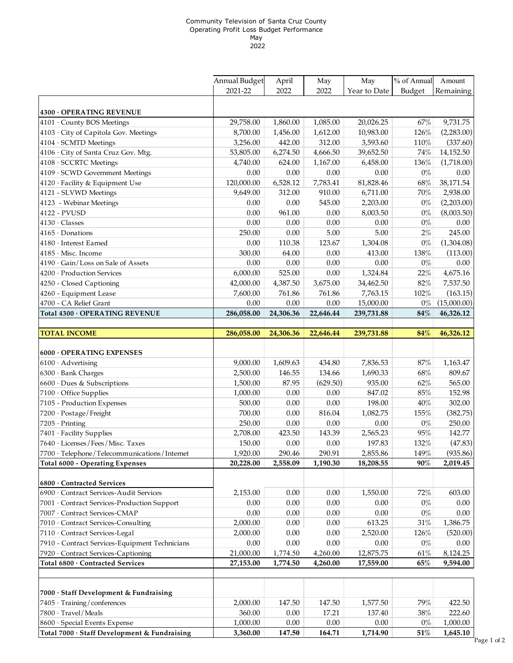#### Community Television of Santa Cruz County Operating Profit Loss Budget Performance May 2022

|                                                    | Annual Budget | April     | May       | May          | % of Annual | Amount      |
|----------------------------------------------------|---------------|-----------|-----------|--------------|-------------|-------------|
|                                                    | 2021-22       | 2022      | 2022      | Year to Date | Budget      | Remaining   |
|                                                    |               |           |           |              |             |             |
| 4300 OPERATING REVENUE                             |               |           |           |              |             |             |
| 4101 · County BOS Meetings                         | 29,758.00     | 1,860.00  | 1,085.00  | 20,026.25    | 67%         | 9,731.75    |
| 4103 · City of Capitola Gov. Meetings              | 8,700.00      | 1,456.00  | 1,612.00  | 10,983.00    | 126%        | (2,283.00)  |
| 4104 · SCMTD Meetings                              | 3,256.00      | 442.00    | 312.00    | 3,593.60     | 110%        | (337.60)    |
| 4106 · City of Santa Cruz Gov. Mtg.                | 53,805.00     | 6,274.50  | 4,666.50  | 39,652.50    | 74%         | 14,152.50   |
| 4108 · SCCRTC Meetings                             | 4,740.00      | 624.00    | 1,167.00  | 6,458.00     | 136%        | (1,718.00)  |
| 4109 · SCWD Government Meetings                    | 0.00          | $0.00\,$  | 0.00      | 0.00         | $0\%$       | 0.00        |
| 4120 · Facility & Equipment Use                    | 120,000.00    | 6,528.12  | 7,783.41  | 81,828.46    | 68%         | 38,171.54   |
| 4121 - SLVWD Meetings                              | 9,649.00      | 312.00    | 910.00    | 6,711.00     | 70%         | 2,938.00    |
| 4123 - Webinar Meetings                            | 0.00          | 0.00      | 545.00    | 2,203.00     | $0\%$       | (2,203.00)  |
| 4122 - PVUSD                                       | 0.00          | 961.00    | 0.00      | 8,003.50     | $0\%$       | (8,003.50)  |
| 4130 · Classes                                     | 0.00          | 0.00      | 0.00      | 0.00         | $0\%$       | 0.00        |
| $4165 \cdot$ Donations                             | 250.00        | 0.00      | 5.00      | 5.00         | $2\%$       | 245.00      |
| 4180 · Interest Earned                             | 0.00          | 110.38    | 123.67    | 1,304.08     | $0\%$       | (1,304.08)  |
| 4185 · Misc. Income                                | 300.00        | 64.00     | 0.00      | 413.00       | 138%        | (113.00)    |
| 4190 · Gain/Loss on Sale of Assets                 | 0.00          | 0.00      | 0.00      | 0.00         | $0\%$       | 0.00        |
| 4200 · Production Services                         | 6,000.00      | 525.00    | 0.00      | 1,324.84     | 22%         | 4,675.16    |
| 4250 - Closed Captioning                           | 42,000.00     | 4,387.50  | 3,675.00  | 34,462.50    | 82%         | 7,537.50    |
| 4260 - Equipment Lease                             | 7,600.00      | 761.86    | 761.86    | 7,763.15     | 102%        | (163.15)    |
| 4700 - CA Relief Grant                             | 0.00          | 0.00      | 0.00      | 15,000.00    | $0\%$       | (15,000.00) |
| Total 4300 · OPERATING REVENUE                     | 286,058.00    | 24,306.36 | 22,646.44 | 239,731.88   | 84%         | 46,326.12   |
|                                                    |               |           |           |              |             |             |
| <b>TOTAL INCOME</b>                                | 286,058.00    | 24,306.36 | 22,646.44 | 239,731.88   | 84%         | 46,326.12   |
|                                                    |               |           |           |              |             |             |
| 6000 · OPERATING EXPENSES                          |               |           |           |              |             |             |
| $6100 \cdot$ Advertising                           | 9,000.00      | 1,609.63  | 434.80    | 7,836.53     | 87%         | 1,163.47    |
| $6300 \cdot$ Bank Charges                          | 2,500.00      | 146.55    | 134.66    | 1,690.33     | 68%         | 809.67      |
| 6600 · Dues & Subscriptions                        | 1,500.00      | 87.95     | (629.50)  | 935.00       | 62%         | 565.00      |
| 7100 · Office Supplies                             | 1,000.00      | $0.00\,$  | 0.00      | 847.02       | 85%         | 152.98      |
| 7105 - Production Expenses                         | 500.00        | 0.00      | $0.00\,$  | 198.00       | 40%         | 302.00      |
| 7200 · Postage/Freight                             | 700.00        | 0.00      | 816.04    | 1,082.75     | 155%        | (382.75)    |
| 7205 · Printing                                    | 250.00        | $0.00\,$  | $0.00\,$  | 0.00         | $0\%$       | 250.00      |
| 7401 · Facility Supplies                           | 2,708.00      | 423.50    | 143.39    | 2,565.23     | 95%         | 142.77      |
| 7640 · Licenses / Fees / Misc. Taxes               | 150.00        | 0.00      | 0.00      | 197.83       | 132%        | (47.83)     |
| $7700 \cdot$ Telephone/Telecommunications/Internet | 1,920.00      | 290.46    | 290.91    | 2,855.86     | 149%        | (935.86)    |
| Total 6000 - Operating Expenses                    | 20,228.00     | 2,558.09  | 1,190.30  | 18,208.55    | 90%         | 2,019.45    |
|                                                    |               |           |           |              |             |             |
| 6800 · Contracted Services                         |               |           |           |              |             |             |
| 6900 · Contract Services-Audit Services            | 2,153.00      | 0.00      | 0.00      | 1,550.00     | 72%         | 603.00      |
| 7001 · Contract Services-Production Support        | 0.00          | $0.00\,$  | 0.00      | 0.00         | $0\%$       | 0.00        |
| 7007 · Contract Services-CMAP                      | $0.00\,$      | $0.00\,$  | 0.00      | 0.00         | $0\%$       | $0.00\,$    |
| 7010 Contract Services-Consulting                  | 2,000.00      | 0.00      | 0.00      | 613.25       | 31%         | 1,386.75    |
| 7110 · Contract Services-Legal                     | 2,000.00      | 0.00      | $0.00\,$  | 2,520.00     | 126%        | (520.00)    |
| 7910 - Contract Services-Equipment Technicians     | 0.00          | $0.00\,$  | $0.00\,$  | 0.00         | $0\%$       | 0.00        |
| 7920 · Contract Services-Captioning                | 21,000.00     | 1,774.50  | 4,260.00  | 12,875.75    | 61%         | 8,124.25    |
| Total 6800 · Contracted Services                   | 27,153.00     | 1,774.50  | 4,260.00  | 17,559.00    | 65%         | 9,594.00    |
|                                                    |               |           |           |              |             |             |
|                                                    |               |           |           |              |             |             |
| 7000 · Staff Development & Fundraising             |               |           |           |              |             |             |
| 7405 · Training/conferences                        | 2,000.00      | 147.50    | 147.50    | 1,577.50     | 79%         | 422.50      |
| 7800 · Travel/Meals                                | 360.00        | 0.00      | 17.21     | 137.40       | 38%         | 222.60      |
| 8600 · Special Events Expense                      | 1,000.00      | $0.00\,$  | $0.00\,$  | 0.00         | $0\%$       | 1,000.00    |
| Total 7000 · Staff Development & Fundraising       | 3,360.00      | 147.50    | 164.71    | 1,714.90     | 51%         | 1,645.10    |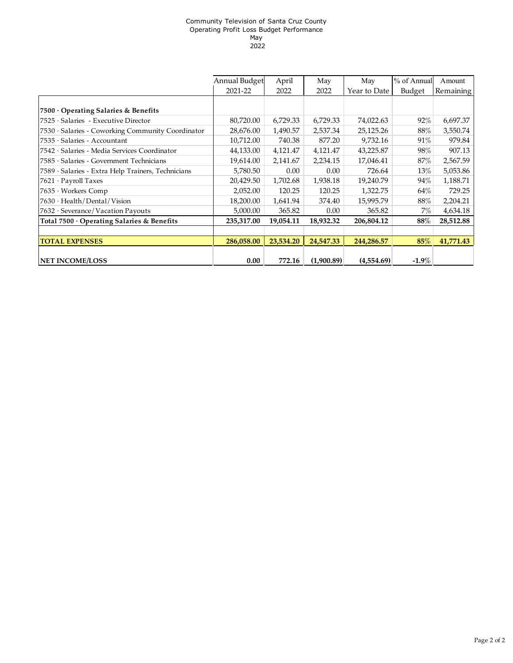#### Community Television of Santa Cruz County Operating Profit Loss Budget Performance May 2022

|                                                    | Annual Budget | April     | May        | May          | % of Annual | Amount    |
|----------------------------------------------------|---------------|-----------|------------|--------------|-------------|-----------|
|                                                    | 2021-22       | 2022      | 2022       | Year to Date | Budget      | Remaining |
|                                                    |               |           |            |              |             |           |
| 7500 Operating Salaries & Benefits                 |               |           |            |              |             |           |
| 7525 · Salaries - Executive Director               | 80,720.00     | 6,729.33  | 6,729.33   | 74,022.63    | 92%         | 6,697.37  |
| 7530 · Salaries - Coworking Community Coordinator  | 28,676.00     | 1,490.57  | 2,537.34   | 25,125.26    | $88\%$      | 3,550.74  |
| $7535 \cdot$ Salaries - Accountant                 | 10,712.00     | 740.38    | 877.20     | 9,732.16     | 91%         | 979.84    |
| 7542 · Salaries - Media Services Coordinator       | 44,133.00     | 4,121.47  | 4,121.47   | 43,225.87    | 98%         | 907.13    |
| 7585 · Salaries - Government Technicians           | 19,614.00     | 2,141.67  | 2,234.15   | 17,046.41    | 87%         | 2,567.59  |
| 7589 · Salaries - Extra Help Trainers, Technicians | 5,780.50      | 0.00      | 0.00       | 726.64       | 13%         | 5,053.86  |
| $7621 \cdot$ Payroll Taxes                         | 20,429.50     | 1,702.68  | 1,938.18   | 19,240.79    | 94%         | 1,188.71  |
| 7635 · Workers Comp                                | 2,052.00      | 120.25    | 120.25     | 1,322.75     | 64%         | 729.25    |
| $7630 \cdot$ Health/Dental/Vision                  | 18,200.00     | 1,641.94  | 374.40     | 15,995.79    | $88\%$      | 2,204.21  |
| 7632 · Severance/Vacation Payouts                  | 5,000.00      | 365.82    | 0.00       | 365.82       | 7%          | 4,634.18  |
| Total 7500 · Operating Salaries & Benefits         | 235,317.00    | 19,054.11 | 18,932.32  | 206,804.12   | $88\%$      | 28,512.88 |
|                                                    |               |           |            |              |             |           |
| <b>TOTAL EXPENSES</b>                              | 286,058.00    | 23,534.20 | 24,547.33  | 244,286.57   | 85%         | 41,771.43 |
|                                                    |               |           |            |              |             |           |
| <b>NET INCOME/LOSS</b>                             | 0.00          | 772.16    | (1,900.89) | (4,554.69)   | $-1.9\%$    |           |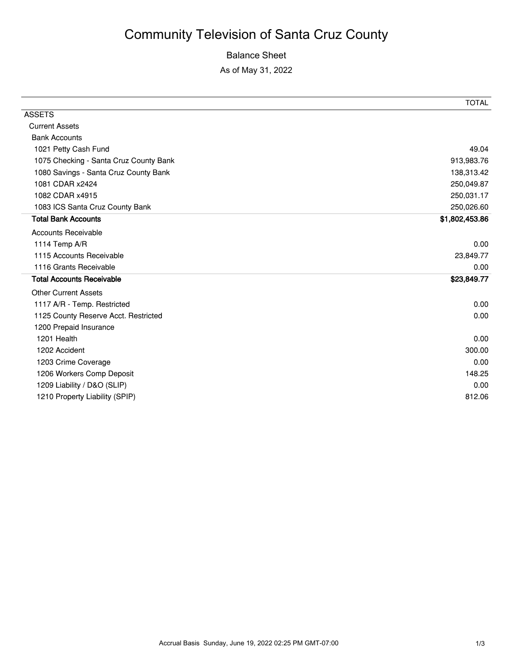## Community Television of Santa Cruz County

## Balance Sheet

As of May 31, 2022

|                                        | TOTAL          |
|----------------------------------------|----------------|
| <b>ASSETS</b>                          |                |
| <b>Current Assets</b>                  |                |
| <b>Bank Accounts</b>                   |                |
| 1021 Petty Cash Fund                   | 49.04          |
| 1075 Checking - Santa Cruz County Bank | 913,983.76     |
| 1080 Savings - Santa Cruz County Bank  | 138,313.42     |
| 1081 CDAR x2424                        | 250,049.87     |
| 1082 CDAR x4915                        | 250,031.17     |
| 1083 ICS Santa Cruz County Bank        | 250,026.60     |
| <b>Total Bank Accounts</b>             | \$1,802,453.86 |
| <b>Accounts Receivable</b>             |                |
| 1114 Temp A/R                          | 0.00           |
| 1115 Accounts Receivable               | 23,849.77      |
| 1116 Grants Receivable                 | 0.00           |
| <b>Total Accounts Receivable</b>       | \$23,849.77    |
| <b>Other Current Assets</b>            |                |
| 1117 A/R - Temp. Restricted            | 0.00           |
| 1125 County Reserve Acct. Restricted   | 0.00           |
| 1200 Prepaid Insurance                 |                |
| 1201 Health                            | 0.00           |
| 1202 Accident                          | 300.00         |
| 1203 Crime Coverage                    | 0.00           |
| 1206 Workers Comp Deposit              | 148.25         |
| 1209 Liability / D&O (SLIP)            | 0.00           |
| 1210 Property Liability (SPIP)         | 812.06         |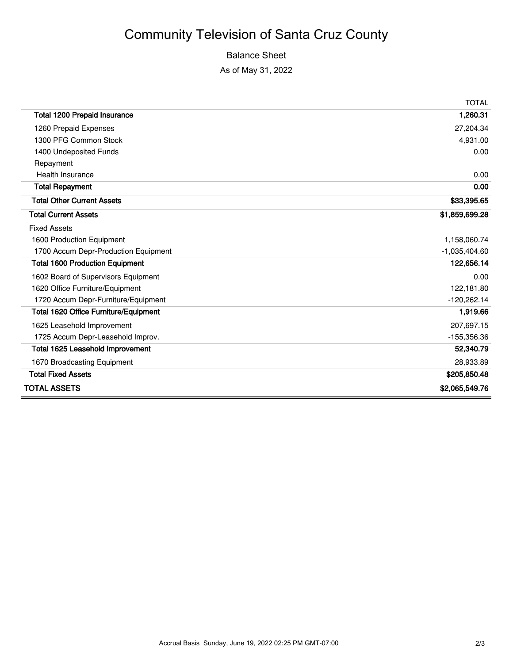## Community Television of Santa Cruz County

### Balance Sheet

As of May 31, 2022

 $\overline{a}$ 

|                                              | <b>TOTAL</b>    |
|----------------------------------------------|-----------------|
| <b>Total 1200 Prepaid Insurance</b>          | 1,260.31        |
| 1260 Prepaid Expenses                        | 27,204.34       |
| 1300 PFG Common Stock                        | 4,931.00        |
| 1400 Undeposited Funds                       | 0.00            |
| Repayment                                    |                 |
| Health Insurance                             | 0.00            |
| <b>Total Repayment</b>                       | 0.00            |
| <b>Total Other Current Assets</b>            | \$33,395.65     |
| <b>Total Current Assets</b>                  | \$1,859,699.28  |
| <b>Fixed Assets</b>                          |                 |
| 1600 Production Equipment                    | 1,158,060.74    |
| 1700 Accum Depr-Production Equipment         | $-1,035,404.60$ |
| <b>Total 1600 Production Equipment</b>       | 122,656.14      |
| 1602 Board of Supervisors Equipment          | 0.00            |
| 1620 Office Furniture/Equipment              | 122,181.80      |
| 1720 Accum Depr-Furniture/Equipment          | $-120,262.14$   |
| <b>Total 1620 Office Furniture/Equipment</b> | 1,919.66        |
| 1625 Leasehold Improvement                   | 207,697.15      |
| 1725 Accum Depr-Leasehold Improv.            | $-155,356.36$   |
| <b>Total 1625 Leasehold Improvement</b>      | 52,340.79       |
| 1670 Broadcasting Equipment                  | 28,933.89       |
| <b>Total Fixed Assets</b>                    | \$205,850.48    |
| TOTAL ASSETS                                 | \$2,065,549.76  |